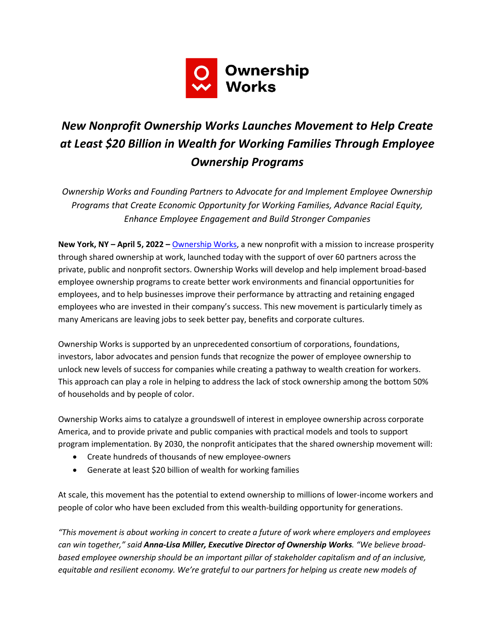

# *New Nonprofit Ownership Works Launches Movement to Help Create at Least \$20 Billion in Wealth for Working Families Through Employee Ownership Programs*

*Ownership Works and Founding Partners to Advocate for and Implement Employee Ownership Programs that Create Economic Opportunity for Working Families, Advance Racial Equity, Enhance Employee Engagement and Build Stronger Companies*

**New York, NY – April 5, 2022 –** [Ownership Works,](https://ownershipworks.org/) a new nonprofit with a mission to increase prosperity through shared ownership at work, launched today with the support of over 60 partners across the private, public and nonprofit sectors. Ownership Works will develop and help implement broad-based employee ownership programs to create better work environments and financial opportunities for employees, and to help businesses improve their performance by attracting and retaining engaged employees who are invested in their company's success. This new movement is particularly timely as many Americans are leaving jobs to seek better pay, benefits and corporate cultures.

Ownership Works is supported by an unprecedented consortium of corporations, foundations, investors, labor advocates and pension funds that recognize the power of employee ownership to unlock new levels of success for companies while creating a pathway to wealth creation for workers. This approach can play a role in helping to address the lack of stock ownership among the bottom 50% of households and by people of color.

Ownership Works aims to catalyze a groundswell of interest in employee ownership across corporate America, and to provide private and public companies with practical models and tools to support program implementation. By 2030, the nonprofit anticipates that the shared ownership movement will:

- Create hundreds of thousands of new employee-owners
- Generate at least \$20 billion of wealth for working families

At scale, this movement has the potential to extend ownership to millions of lower-income workers and people of color who have been excluded from this wealth-building opportunity for generations.

*"This movement is about working in concert to create a future of work where employers and employees can win together," said Anna-Lisa Miller, Executive Director of Ownership Works. "We believe broadbased employee ownership should be an important pillar of stakeholder capitalism and of an inclusive, equitable and resilient economy. We're grateful to our partners for helping us create new models of*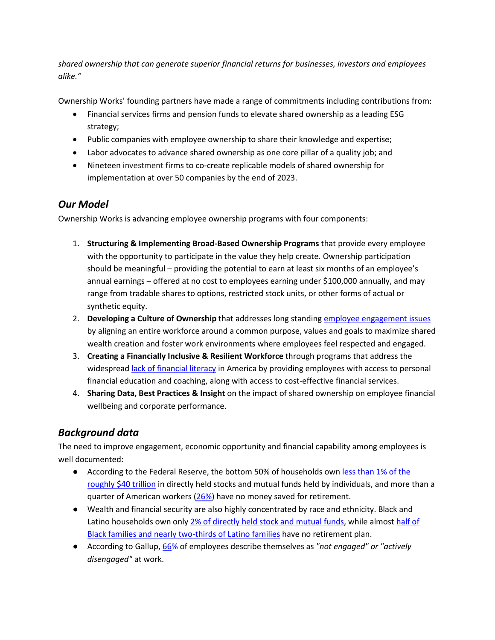*shared ownership that can generate superior financial returns for businesses, investors and employees alike."*

Ownership Works' founding partners have made a range of commitments including contributions from:

- Financial services firms and pension funds to elevate shared ownership as a leading ESG strategy;
- Public companies with employee ownership to share their knowledge and expertise;
- Labor advocates to advance shared ownership as one core pillar of a quality job; and
- Nineteen investment firms to co-create replicable models of shared ownership for implementation at over 50 companies by the end of 2023.

### *Our Model*

Ownership Works is advancing employee ownership programs with four components:

- 1. **Structuring & Implementing Broad-Based Ownership Programs** that provide every employee with the opportunity to participate in the value they help create. Ownership participation should be meaningful – providing the potential to earn at least six months of an employee's annual earnings – offered at no cost to employees earning under \$100,000 annually, and may range from tradable shares to options, restricted stock units, or other forms of actual or synthetic equity.
- 2. **Developing a Culture of Ownership** that addresses long standing [employee engagement issues](https://www.gallup.com/workplace/349484/state-of-the-global-workplace.aspx) by aligning an entire workforce around a common purpose, values and goals to maximize shared wealth creation and foster work environments where employees feel respected and engaged.
- 3. **Creating a Financially Inclusive & Resilient Workforce** through programs that address the widesprea[d lack of financial literacy](https://www.usfinancialcapability.org/results.php?region=US) in America by providing employees with access to personal financial education and coaching, along with access to cost-effective financial services.
- 4. **Sharing Data, Best Practices & Insight** on the impact of shared ownership on employee financial wellbeing and corporate performance.

### *Background data*

The need to improve engagement, economic opportunity and financial capability among employees is well documented:

- According to the Federal Reserve, the bottom 50% of households own less than 1% of the [roughly \\$40 trillion](https://www.federalreserve.gov/releases/z1/dataviz/dfa/distribute/chart/#quarter:126;series:Corporate%20equities%20and%20mutual%20fund%20shares;demographic:networth;population:1,3,5,7;units:levels;range:1989.3,2021.1) in directly held stocks and mutual funds held by individuals, and more than a quarter of American workers [\(26%\)](https://www.federalreserve.gov/publications/2019-economic-well-being-of-us-households-in-2018-retirement.htm) have no money saved for retirement.
- Wealth and financial security are also highly concentrated by race and ethnicity. Black and Latino households own only [2% of directly held s](https://www.federalreserve.gov/releases/z1/dataviz/dfa/distribute/chart/#quarter:126;series:Corporate%20equities%20and%20mutual%20fund%20shares;demographic:race;population:all;units:levels;range:1989.3,2021.1)tock and mutual funds, while almost [half of](https://equitablegrowth.org/wp-content/uploads/2020/10/100720-retireaccounts-ib.pdf)  [Black families and nearly two-thirds of Latino families](https://equitablegrowth.org/wp-content/uploads/2020/10/100720-retireaccounts-ib.pdf) have no retirement plan.
- According to Gallup, [66%](https://www.gallup.com/workplace/349484/state-of-the-global-workplace.aspx) of employees describe themselves as *"not engaged" or "actively disengaged"* at work.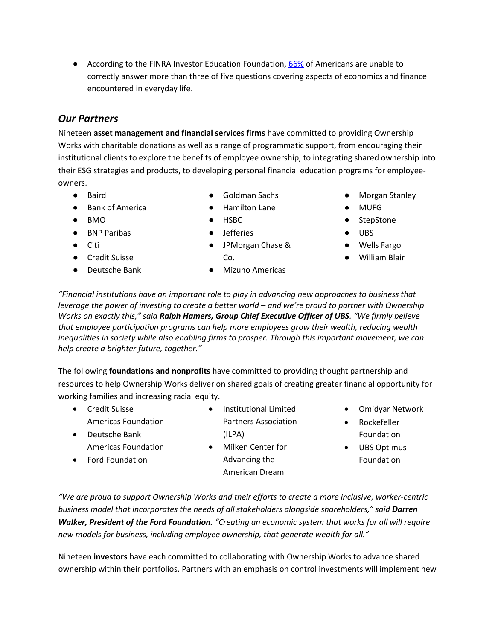● According to the FINRA Investor Education Foundation, [66%](https://www.usfinancialcapability.org/results.php?region=US) of Americans are unable to correctly answer more than three of five questions covering aspects of economics and finance encountered in everyday life.

## *Our Partners*

Nineteen **asset management and financial services firms** have committed to providing Ownership Works with charitable donations as well as a range of programmatic support, from encouraging their institutional clients to explore the benefits of employee ownership, to integrating shared ownership into their ESG strategies and products, to developing personal financial education programs for employeeowners.

- Baird
- Bank of America
- $\bullet$  BMO
- BNP Paribas
- Citi
- Credit Suisse
- Deutsche Bank
- Goldman Sachs
- Hamilton Lane
- HSBC
- Jefferies
- JPMorgan Chase & Co.

● Mizuho Americas

- Morgan Stanley
- MUFG
- StepStone
- UBS
- Wells Fargo
- **William Blair**

*"Financial institutions have an important role to play in advancing new approaches to business that leverage the power of investing to create a better world – and we're proud to partner with Ownership Works on exactly this," said Ralph Hamers, Group Chief Executive Officer of UBS. "We firmly believe that employee participation programs can help more employees grow their wealth, reducing wealth inequalities in society while also enabling firms to prosper. Through this important movement, we can help create a brighter future, together."*

The following **foundations and nonprofits** have committed to providing thought partnership and resources to help Ownership Works deliver on shared goals of creating greater financial opportunity for working families and increasing racial equity.

- Credit Suisse Americas Foundation
- Deutsche Bank Americas Foundation
- Ford Foundation
- (ILPA) • Milken Center for Advancing the

American Dream

• Institutional Limited Partners Association

- Omidyar Network
- Rockefeller Foundation
- UBS Optimus Foundation

*"We are proud to support Ownership Works and their efforts to create a more inclusive, worker-centric business model that incorporates the needs of all stakeholders alongside shareholders," said Darren Walker, President of the Ford Foundation. "Creating an economic system that works for all will require new models for business, including employee ownership, that generate wealth for all."*

Nineteen **investors** have each committed to collaborating with Ownership Works to advance shared ownership within their portfolios. Partners with an emphasis on control investments will implement new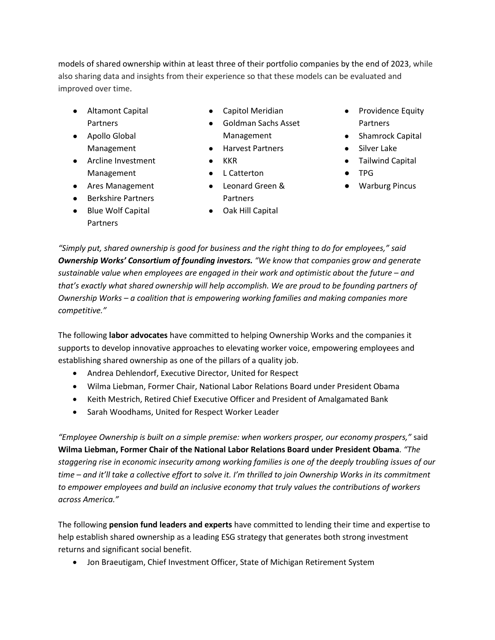models of shared ownership within at least three of their portfolio companies by the end of 2023, while also sharing data and insights from their experience so that these models can be evaluated and improved over time.

- Altamont Capital Partners
- Apollo Global Management
- Arcline Investment Management
- Ares Management
- Berkshire Partners
- Blue Wolf Capital Partners
- Capitol Meridian
- Goldman Sachs Asset Management
- Harvest Partners
- KKR
- L Catterton
- Leonard Green & Partners
- Oak Hill Capital
- Providence Equity **Partners**
- Shamrock Capital
- Silver Lake
- Tailwind Capital
- TPG
- Warburg Pincus

*"Simply put, shared ownership is good for business and the right thing to do for employees," said Ownership Works' Consortium of founding investors. "We know that companies grow and generate sustainable value when employees are engaged in their work and optimistic about the future – and that's exactly what shared ownership will help accomplish. We are proud to be founding partners of Ownership Works – a coalition that is empowering working families and making companies more competitive."*

The following **labor advocates** have committed to helping Ownership Works and the companies it supports to develop innovative approaches to elevating worker voice, empowering employees and establishing shared ownership as one of the pillars of a quality job.

- Andrea Dehlendorf, Executive Director, United for Respect
- Wilma Liebman, Former Chair, National Labor Relations Board under President Obama
- Keith Mestrich, Retired Chief Executive Officer and President of Amalgamated Bank
- Sarah Woodhams, United for Respect Worker Leader

*"Employee Ownership is built on a simple premise: when workers prosper, our economy prospers,"* said **Wilma Liebman, Former Chair of the National Labor Relations Board under President Obama**. *"The staggering rise in economic insecurity among working families is one of the deeply troubling issues of our time – and it'll take a collective effort to solve it. I'm thrilled to join Ownership Works in its commitment to empower employees and build an inclusive economy that truly values the contributions of workers across America."*

The following **pension fund leaders and experts** have committed to lending their time and expertise to help establish shared ownership as a leading ESG strategy that generates both strong investment returns and significant social benefit.

• Jon Braeutigam, Chief Investment Officer, State of Michigan Retirement System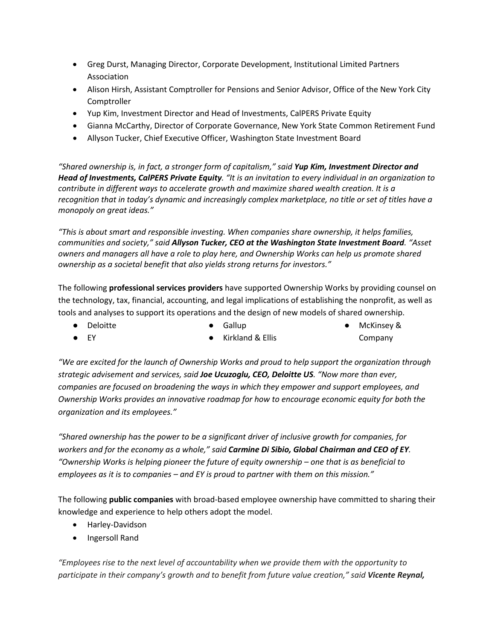- Greg Durst, Managing Director, Corporate Development, Institutional Limited Partners Association
- Alison Hirsh, Assistant Comptroller for Pensions and Senior Advisor, Office of the New York City Comptroller
- Yup Kim, Investment Director and Head of Investments, CalPERS Private Equity
- Gianna McCarthy, Director of Corporate Governance, New York State Common Retirement Fund
- Allyson Tucker, Chief Executive Officer, Washington State Investment Board

*"Shared ownership is, in fact, a stronger form of capitalism," said Yup Kim, Investment Director and Head of Investments, CalPERS Private Equity. "It is an invitation to every individual in an organization to contribute in different ways to accelerate growth and maximize shared wealth creation. It is a recognition that in today's dynamic and increasingly complex marketplace, no title or set of titles have a monopoly on great ideas."*

*"This is about smart and responsible investing. When companies share ownership, it helps families, communities and society," said Allyson Tucker, CEO at the Washington State Investment Board. "Asset owners and managers all have a role to play here, and Ownership Works can help us promote shared ownership as a societal benefit that also yields strong returns for investors."*

The following **professional services providers** have supported Ownership Works by providing counsel on the technology, tax, financial, accounting, and legal implications of establishing the nonprofit, as well as tools and analyses to support its operations and the design of new models of shared ownership.

● Deloitte

● EY

● Gallup

● McKinsey & Company

*"We are excited for the launch of Ownership Works and proud to help support the organization through strategic advisement and services, said Joe Ucuzoglu, CEO, Deloitte US. "Now more than ever, companies are focused on broadening the ways in which they empower and support employees, and Ownership Works provides an innovative roadmap for how to encourage economic equity for both the organization and its employees."*

● Kirkland & Ellis

*"Shared ownership has the power to be a significant driver of inclusive growth for companies, for workers and for the economy as a whole," said Carmine Di Sibio, Global Chairman and CEO of EY. "Ownership Works is helping pioneer the future of equity ownership – one that is as beneficial to employees as it is to companies – and EY is proud to partner with them on this mission."*

The following **public companies** with broad-based employee ownership have committed to sharing their knowledge and experience to help others adopt the model.

- Harley-Davidson
- Ingersoll Rand

*"Employees rise to the next level of accountability when we provide them with the opportunity to participate in their company's growth and to benefit from future value creation," said Vicente Reynal,*